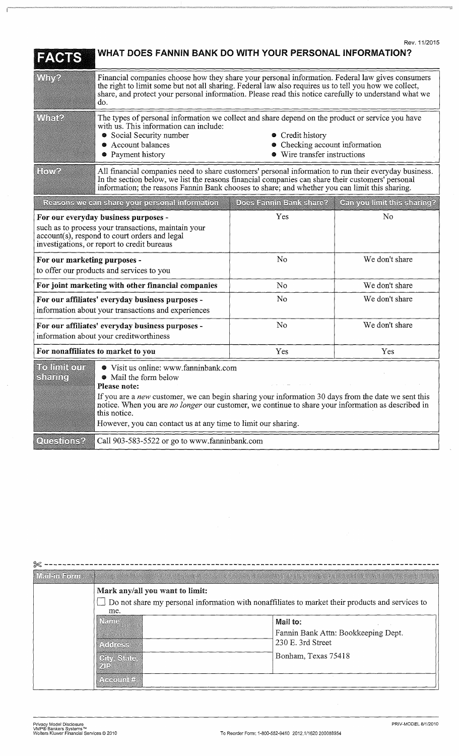| EACTS                                                                                                                                                                                          | WHAT DOES FANNIN BANK DO WITH YOUR PERSONAL INFORMATION?                                                                                                                                                                                                                                                                                                                     |                                                                                |                             |
|------------------------------------------------------------------------------------------------------------------------------------------------------------------------------------------------|------------------------------------------------------------------------------------------------------------------------------------------------------------------------------------------------------------------------------------------------------------------------------------------------------------------------------------------------------------------------------|--------------------------------------------------------------------------------|-----------------------------|
| Why?                                                                                                                                                                                           | Financial companies choose how they share your personal information. Federal law gives consumers<br>the right to limit some but not all sharing. Federal law also requires us to tell you how we collect,<br>share, and protect your personal information. Please read this notice carefully to understand what we<br>do.                                                    |                                                                                |                             |
| Whate                                                                                                                                                                                          | The types of personal information we collect and share depend on the product or service you have<br>with us. This information can include:<br>• Social Security number<br>• Account balances<br>• Payment history                                                                                                                                                            | • Credit history<br>Checking account information<br>Wire transfer instructions |                             |
| HOWA                                                                                                                                                                                           | All financial companies need to share customers' personal information to run their everyday business.<br>In the section below, we list the reasons financial companies can share their customers' personal<br>information; the reasons Fannin Bank chooses to share; and whether you can limit this sharing.                                                                 |                                                                                |                             |
|                                                                                                                                                                                                | Reasons we can share your personal information                                                                                                                                                                                                                                                                                                                               | Does Fannin Bank share?                                                        | Can you limit this sharing? |
| For our everyday business purposes -<br>such as to process your transactions, maintain your<br>$account(s)$ , respond to court orders and legal<br>investigations, or report to credit bureaus |                                                                                                                                                                                                                                                                                                                                                                              | Yes                                                                            | N <sub>o</sub>              |
| For our marketing purposes -<br>to offer our products and services to you                                                                                                                      |                                                                                                                                                                                                                                                                                                                                                                              | No                                                                             | We don't share              |
| For joint marketing with other financial companies                                                                                                                                             |                                                                                                                                                                                                                                                                                                                                                                              | N <sub>0</sub>                                                                 | We don't share              |
| For our affiliates' everyday business purposes -<br>information about your transactions and experiences                                                                                        |                                                                                                                                                                                                                                                                                                                                                                              | No                                                                             | We don't share              |
| For our affiliates' everyday business purposes -<br>information about your creditworthiness                                                                                                    |                                                                                                                                                                                                                                                                                                                                                                              | No                                                                             | We don't share              |
| For nonaffiliates to market to you                                                                                                                                                             |                                                                                                                                                                                                                                                                                                                                                                              | Yes                                                                            | Yes                         |
| To limit our<br>Siching                                                                                                                                                                        | ● Visit us online: www.fanninbank.com<br>• Mail the form below<br>Please note:<br>If you are a new customer, we can begin sharing your information 30 days from the date we sent this<br>notice. When you are no longer our customer, we continue to share your information as described in<br>this notice.<br>However, you can contact us at any time to limit our sharing. |                                                                                |                             |
| Questions?                                                                                                                                                                                     | Call 903-583-5522 or go to www.fanninbank.com                                                                                                                                                                                                                                                                                                                                |                                                                                |                             |

| $\approx$ -  |                                                                                                                                     |                                                          |  |  |
|--------------|-------------------------------------------------------------------------------------------------------------------------------------|----------------------------------------------------------|--|--|
| Weil-in Form | E DE SAN ESTADO DE LA PRODUCTIVA DE LA CARDINA DE LA CARDINA DE LA CARDINA DE LA CARDINA DE LA CARDINA DE LA C                      |                                                          |  |  |
|              | Mark any/all you want to limit:<br>Do not share my personal information with nonaffiliates to market their products and services to |                                                          |  |  |
|              | me.<br><b>WEINE</b>                                                                                                                 | Mail to:                                                 |  |  |
|              |                                                                                                                                     | Fannin Bank Attn: Bookkeeping Dept.<br>230 E. 3rd Street |  |  |
|              | A digite 39<br><b>City State</b>                                                                                                    | Bonham, Texas 75418                                      |  |  |
|              | Account#                                                                                                                            |                                                          |  |  |
|              |                                                                                                                                     |                                                          |  |  |

Ï